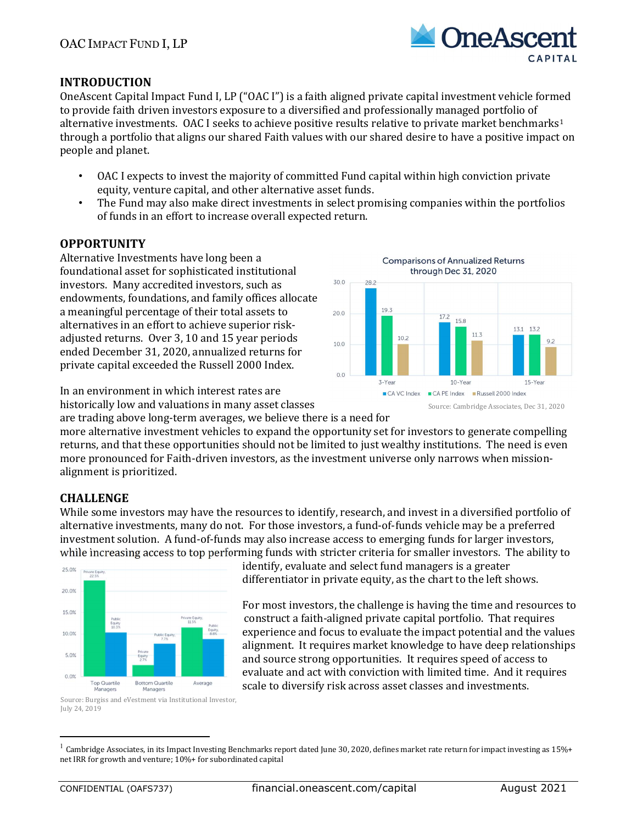

Source: Cambridge Associates, Dec 31, 2020

13.2 13.1

15-Year

**Comparisons of Annualized Returns** through Dec 31, 2020

158

10-Year

■ CA VC Index ■ CA PE Index ■ Russell 2000 Index

 $11.3$ 

### INTRODUCTION

OneAscent Capital Impact Fund I, LP ("OAC I") is a faith aligned private capital investment vehicle formed to provide faith driven investors exposure to a diversified and professionally managed portfolio of alternative investments. OAC I seeks to achieve positive results relative to private market benchmarks<sup>1</sup> through a portfolio that aligns our shared Faith values with our shared desire to have a positive impact on people and planet.

- OAC I expects to invest the majority of committed Fund capital within high conviction private equity, venture capital, and other alternative asset funds.
- The Fund may also make direct investments in select promising companies within the portfolios of funds in an effort to increase overall expected return.

30.0

 $200$ 

10.0

 $0.0$ 

 $282$ 

19.3

3-Year

 $10.2$ 

#### **OPPORTUNITY**

Alternative Investments have long been a foundational asset for sophisticated institutional investors. Many accredited investors, such as endowments, foundations, and family offices allocate a meaningful percentage of their total assets to alternatives in an effort to achieve superior riskadjusted returns. Over 3, 10 and 15 year periods ended December 31, 2020, annualized returns for private capital exceeded the Russell 2000 Index.

In an environment in which interest rates are historically low and valuations in many asset classes

are trading above long-term averages, we believe there is a need for

more alternative investment vehicles to expand the opportunity set for investors to generate compelling returns, and that these opportunities should not be limited to just wealthy institutions. The need is even more pronounced for Faith-driven investors, as the investment universe only narrows when missionalignment is prioritized.

### **CHALLENGE**

While some investors may have the resources to identify, research, and invest in a diversified portfolio of alternative investments, many do not. For those investors, a fund-of-funds vehicle may be a preferred investment solution. A fund-of-funds may also increase access to emerging funds for larger investors, while increasing access to top performing funds with stricter criteria for smaller investors. The ability to



Source: Burgiss and eVestment via Institutional Investor, July 24, 2019

identify, evaluate and select fund managers is a greater differentiator in private equity, as the chart to the left shows.

For most investors, the challenge is having the time and resources to construct a faith-aligned private capital portfolio. That requires experience and focus to evaluate the impact potential and the values alignment. It requires market knowledge to have deep relationships and source strong opportunities. It requires speed of access to evaluate and act with conviction with limited time. And it requires scale to diversify risk across asset classes and investments.



 $1$  Cambridge Associates, in its Impact Investing Benchmarks report dated June 30, 2020, defines market rate return for impact investing as 15%+ net IRR for growth and venture; 10%+ for subordinated capital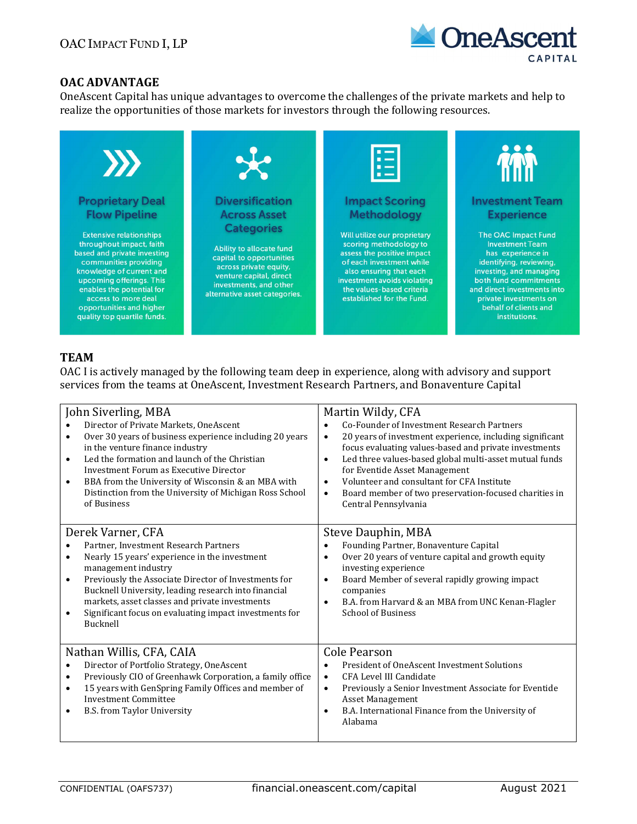

### OAC ADVANTAGE

OneAscent Capital has unique advantages to overcome the challenges of the private markets and help to realize the opportunities of those markets for investors through the following resources.



# TEAM

OAC I is actively managed by the following team deep in experience, along with advisory and support services from the teams at OneAscent, Investment Research Partners, and Bonaventure Capital

| John Siverling, MBA                                                                                                                                                                                                                                                                                                                                                                                                            | Martin Wildy, CFA                                                                                                                                                                                                                                                                                                                                                                                                                                          |
|--------------------------------------------------------------------------------------------------------------------------------------------------------------------------------------------------------------------------------------------------------------------------------------------------------------------------------------------------------------------------------------------------------------------------------|------------------------------------------------------------------------------------------------------------------------------------------------------------------------------------------------------------------------------------------------------------------------------------------------------------------------------------------------------------------------------------------------------------------------------------------------------------|
| Director of Private Markets, OneAscent<br>$\bullet$<br>Over 30 years of business experience including 20 years<br>$\bullet$<br>in the venture finance industry<br>Led the formation and launch of the Christian<br>$\bullet$<br>Investment Forum as Executive Director<br>BBA from the University of Wisconsin & an MBA with<br>$\bullet$<br>Distinction from the University of Michigan Ross School<br>of Business            | Co-Founder of Investment Research Partners<br>$\bullet$<br>20 years of investment experience, including significant<br>$\bullet$<br>focus evaluating values-based and private investments<br>Led three values-based global multi-asset mutual funds<br>$\bullet$<br>for Eventide Asset Management<br>Volunteer and consultant for CFA Institute<br>$\bullet$<br>Board member of two preservation-focused charities in<br>$\bullet$<br>Central Pennsylvania |
| Derek Varner, CFA<br>Partner, Investment Research Partners<br>$\bullet$<br>Nearly 15 years' experience in the investment<br>$\bullet$<br>management industry<br>Previously the Associate Director of Investments for<br>$\bullet$<br>Bucknell University, leading research into financial<br>markets, asset classes and private investments<br>Significant focus on evaluating impact investments for<br>$\bullet$<br>Bucknell | Steve Dauphin, MBA<br>Founding Partner, Bonaventure Capital<br>$\bullet$<br>Over 20 years of venture capital and growth equity<br>$\bullet$<br>investing experience<br>Board Member of several rapidly growing impact<br>$\bullet$<br>companies<br>B.A. from Harvard & an MBA from UNC Kenan-Flagler<br>$\bullet$<br><b>School of Business</b>                                                                                                             |
| Nathan Willis, CFA, CAIA<br>Director of Portfolio Strategy, OneAscent<br>$\bullet$<br>Previously CIO of Greenhawk Corporation, a family office<br>$\bullet$<br>15 years with GenSpring Family Offices and member of<br>$\bullet$<br><b>Investment Committee</b><br><b>B.S. from Taylor University</b><br>$\bullet$                                                                                                             | Cole Pearson<br>President of OneAscent Investment Solutions<br>$\bullet$<br>CFA Level III Candidate<br>$\bullet$<br>Previously a Senior Investment Associate for Eventide<br>$\bullet$<br>Asset Management<br>B.A. International Finance from the University of<br>$\bullet$<br>Alabama                                                                                                                                                                    |